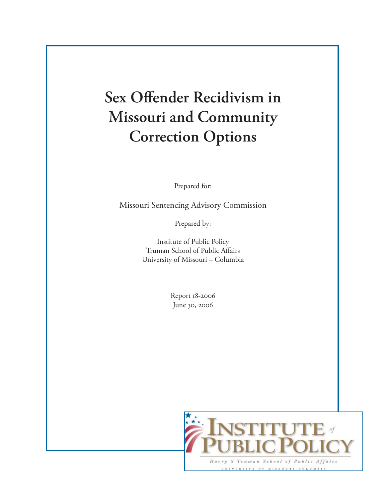## **Sex Offender Recidivism in Missouri and Community Correction Options**

Prepared for:

Missouri Sentencing Advisory Commission

Prepared by:

Institute of Public Policy Truman School of Public Affairs University of Missouri – Columbia

> Report 18-2006 June 30, 2006

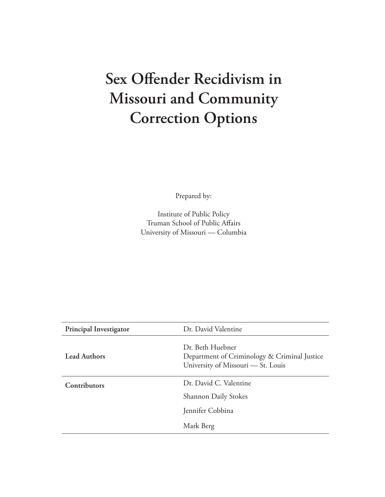## **Sex Offender Recidivism in Missouri and Community Correction Options**

Prepared by:

Institute of Public Policy Truman School of Public Affairs University of Missouri — Columbia

| <b>Principal Investigator</b> | Dr. David Valentine                                                                                    |  |
|-------------------------------|--------------------------------------------------------------------------------------------------------|--|
| <b>Lead Authors</b>           | Dr. Beth Huebner<br>Department of Criminology & Criminal Justice<br>University of Missouri — St. Louis |  |
| Contributors                  | Dr. David C. Valentine                                                                                 |  |
|                               | <b>Shannon Daily Stokes</b>                                                                            |  |
|                               | Jennifer Cobbina                                                                                       |  |
|                               | Mark Berg                                                                                              |  |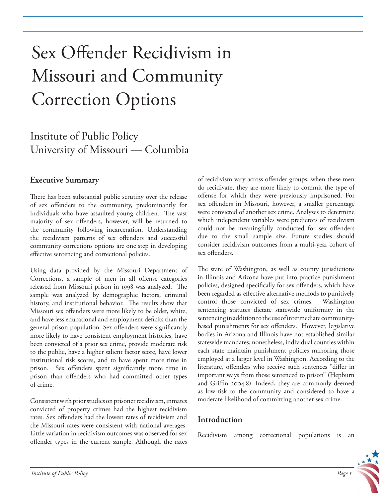# Sex Offender Recidivism in Missouri and Community Correction Options

### Institute of Public Policy University of Missouri — Columbia

#### **Executive Summary**

There has been substantial public scrutiny over the release of sex offenders to the community, predominantly for individuals who have assaulted young children. The vast majority of sex offenders, however, will be returned to the community following incarceration. Understanding the recidivism patterns of sex offenders and successful community corrections options are one step in developing effective sentencing and correctional policies.

Using data provided by the Missouri Department of Corrections, a sample of men in all offense categories released from Missouri prison in 1998 was analyzed. The sample was analyzed by demographic factors, criminal history, and institutional behavior. The results show that Missouri sex offenders were more likely to be older, white, and have less educational and employment deficits than the general prison population. Sex offenders were significantly more likely to have consistent employment histories, have been convicted of a prior sex crime, provide moderate risk to the public, have a higher salient factor score, have lower institutional risk scores, and to have spent more time in prison. Sex offenders spent significantly more time in prison than offenders who had committed other types of crime.

Consistent with prior studies on prisoner recidivism, inmates convicted of property crimes had the highest recidivism rates. Sex offenders had the lowest rates of recidivism and the Missouri rates were consistent with national averages. Little variation in recidivism outcomes was observed for sex offender types in the current sample. Although the rates

of recidivism vary across offender groups, when these men do recidivate, they are more likely to commit the type of offense for which they were previously imprisoned. For sex offenders in Missouri, however, a smaller percentage were convicted of another sex crime. Analyses to determine which independent variables were predictors of recidivism could not be meaningfully conducted for sex offenders due to the small sample size. Future studies should consider recidivism outcomes from a multi-year cohort of sex offenders.

The state of Washington, as well as county jurisdictions in Illinois and Arizona have put into practice punishment policies, designed specifically for sex offenders, which have been regarded as effective alternative methods to punitively control those convicted of sex crimes. Washington sentencing statutes dictate statewide uniformity in the sentencing in addition to the use of intermediate communitybased punishments for sex offenders. However, legislative bodies in Arizona and Illinois have not established similar statewide mandates; nonetheless, individual counties within each state maintain punishment policies mirroring those employed at a larger level in Washington. According to the literature, offenders who receive such sentences "differ in important ways from those sentenced to prison" (Hepburn and Griffin 2004:8). Indeed, they are commonly deemed as low-risk to the community and considered to have a moderate likelihood of committing another sex crime.

#### **Introduction**

Recidivism among correctional populations is an

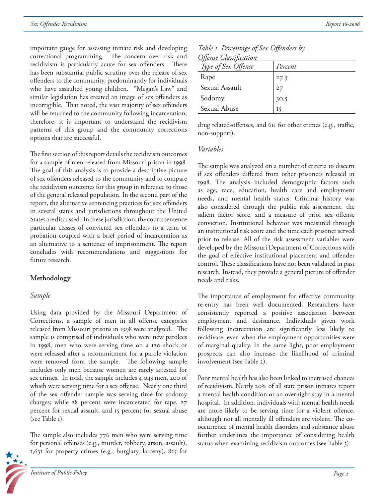important gauge for assessing inmate risk and developing correctional programming. The concern over risk and recidivism is particularly acute for sex offenders. There has been substantial public scrutiny over the release of sex offenders to the community, predominantly for individuals who have assaulted young children. "Megan's Law" and similar legislation has created an image of sex offenders as incorrigible. That noted, the vast majority of sex offenders will be returned to the community following incarceration; therefore, it is important to understand the recidivism patterns of this group and the community corrections options that are successful.

The first section of this report details the recidivism outcomes for a sample of men released from Missouri prison in 1998. The goal of this analysis is to provide a descriptive picture of sex offenders released to the community and to compare the recidivism outcomes for this group in reference to those of the general released population. In the second part of the report, the alternative sentencing practices for sex offenders in several states and jurisdictions throughout the United States are discussed. In these jurisdiction, the courts sentence particular classes of convicted sex offenders to a term of probation coupled with a brief period of incarceration as an alternative to a sentence of imprisonment. The report concludes with recommendations and suggestions for future research.

#### **Methodology**

#### *Sample*

Using data provided by the Missouri Department of Corrections, a sample of men in all offense categories released from Missouri prisons in 1998 were analyzed. The sample is comprised of individuals who were new parolees in 1998; men who were serving time on a 120 shock or were released after a recommitment for a parole violation were removed from the sample. The following sample includes only men because women are rarely arrested for sex crimes. In total, the sample includes 4,043 men, 200 of which were serving time for a sex offense. Nearly one third of the sex offender sample was serving time for sodomy charges; while 28 percent were incarcerated for rape, 27 percent for sexual assault, and 15 percent for sexual abuse (see Table 1).

The sample also includes  $776$  men who were serving time for personal offenses (e.g., murder, robbery, arson, assault), 1,631 for property crimes (e.g., burglary, larceny), 825 for



| Offense Classification | Table 1. Percentage of Sex Offenders by |  |  |
|------------------------|-----------------------------------------|--|--|
|                        |                                         |  |  |

| <u> Offense Classification</u> |                |
|--------------------------------|----------------|
| Type of Sex Offense            | Percent        |
| Rape                           | 27.5           |
| Sexual Assault                 | 27             |
| Sodomy                         | 30.5           |
| Sexual Abuse                   | $I\mathcal{S}$ |

drug related-offenses, and 611 for other crimes (e.g., traffic, non-support).

#### *Variables*

The sample was analyzed on a number of criteria to discern if sex offenders differed from other prisoners released in 1998. The analysis included demographic factors such as age, race, education, health care and employment needs, and mental health status. Criminal history was also considered through the public risk assessment, the salient factor score, and a measure of prior sex offense conviction. Institutional behavior was measured through an institutional risk score and the time each prisoner served prior to release. All of the risk assessment variables were developed by the Missouri Department of Corrections with the goal of effective institutional placement and offender control. These classifications have not been validated in past research. Instead, they provide a general picture of offender needs and risks.

The importance of employment for effective community re-entry has been well documented. Researchers have consistently reported a positive association between employment and desistance. Individuals given work following incarceration are significantly less likely to recidivate, even when the employment opportunities were of marginal quality. In the same light, poor employment prospects can also increase the likelihood of criminal involvement (see Table 2).

Poor mental health has also been linked to increased chances of recidivism. Nearly 20% of all state prison inmates report a mental health condition or an overnight stay in a mental hospital. In addition, individuals with mental health needs are more likely to be serving time for a violent offence, although not all mentally ill offenders are violent. The cooccurrence of mental health disorders and substance abuse further underlines the importance of considering health status when examining recidivism outcomes (see Table 3).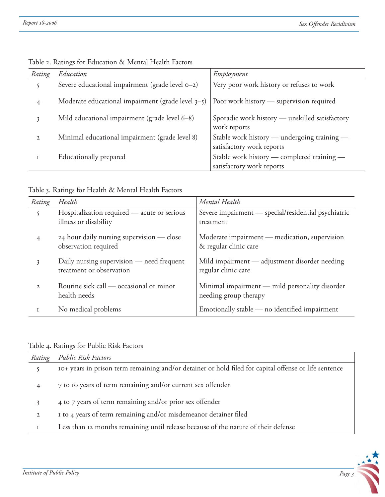| Rating       | Education                                            | Employment                                                               |
|--------------|------------------------------------------------------|--------------------------------------------------------------------------|
|              | Severe educational impairment (grade level 0-2)      | Very poor work history or refuses to work                                |
| 4            | Moderate educational impairment (grade level $3-5$ ) | Poor work history — supervision required                                 |
| 3            | Mild educational impairment (grade level 6-8)        | Sporadic work history - unskilled satisfactory<br>work reports           |
| $\mathbf{2}$ | Minimal educational impairment (grade level 8)       | Stable work history - undergoing training -<br>satisfactory work reports |
|              | Educationally prepared                               | Stable work history - completed training -<br>satisfactory work reports  |

Table 2. Ratings for Education & Mental Health Factors

| Rating       | Health                                                                | Mental Health                                                           |
|--------------|-----------------------------------------------------------------------|-------------------------------------------------------------------------|
| 5            | Hospitalization required — acute or serious<br>illness or disability  | Severe impairment - special/residential psychiatric<br>treatment        |
| 4            | 24 hour daily nursing supervision - close<br>observation required     | Moderate impairment — medication, supervision<br>& regular clinic care  |
| 3            | Daily nursing supervision - need frequent<br>treatment or observation | Mild impairment - adjustment disorder needing<br>regular clinic care    |
| $\mathbf{2}$ | Routine sick call — occasional or minor<br>health needs               | Minimal impairment — mild personality disorder<br>needing group therapy |
|              | No medical problems                                                   | Emotionally stable - no identified impairment                           |

#### Table 4. Ratings for Public Risk Factors

| Rating       | <b>Public Risk Factors</b>                                                                            |
|--------------|-------------------------------------------------------------------------------------------------------|
|              | 10+ years in prison term remaining and/or detainer or hold filed for capital offense or life sentence |
|              | 7 to 10 years of term remaining and/or current sex offender                                           |
|              | 4 to 7 years of term remaining and/or prior sex offender                                              |
| $\mathbf{2}$ | I to 4 years of term remaining and/or misdemeanor detainer filed                                      |
|              | Less than 12 months remaining until release because of the nature of their defense                    |

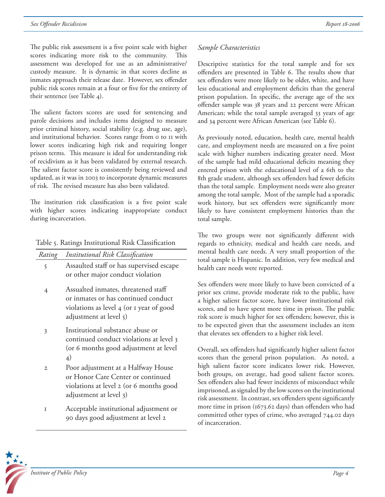The public risk assessment is a five point scale with higher scores indicating more risk to the community. This assessment was developed for use as an administrative/ custody measure. It is dynamic in that scores decline as inmates approach their release date. However, sex offender public risk scores remain at a four or five for the entirety of their sentence (see Table 4).

The salient factors scores are used for sentencing and parole decisions and includes items designed to measure prior criminal history, social stability (e.g. drug use, age), and institutional behavior. Scores range from 0 to 11 with lower scores indicating high risk and requiring longer prison terms. This measure is ideal for understanding risk of recidivism as it has been validated by external research. The salient factor score is consistently being reviewed and updated, as it was in 2003 to incorporate dynamic measures of risk. The revised measure has also been validated.

The institution risk classification is a five point scale with higher scores indicating inappropriate conduct during incarceration.

| Rating | Institutional Risk Classification                                                                                                                |
|--------|--------------------------------------------------------------------------------------------------------------------------------------------------|
| 5      | Assaulted staff or has supervised escape<br>or other major conduct violation                                                                     |
| 4      | Assualted inmates, threatened staff<br>or inmates or has continued conduct<br>violations as level 4 (or 1 year of good<br>adjustment at level 5) |
| 3      | Institutional substance abuse or<br>continued conduct violations at level 3<br>(or 6 months good adjustment at level<br>$\overline{4}$           |
| 2      | Poor adjustment at a Halfway House<br>or Honor Care Center or continued<br>violations at level 2 (or 6 months good<br>adjustment at level 3)     |
|        |                                                                                                                                                  |

1 Acceptable institutional adjustment or 90 days good adjustment at level 2

#### *Sample Characteristics*

Descriptive statistics for the total sample and for sex offenders are presented in Table 6. The results show that sex offenders were more likely to be older, white, and have less educational and employment deficits than the general prison population. In specific, the average age of the sex offender sample was 38 years and 22 percent were African American; while the total sample averaged 33 years of age and 34 percent were African American (see Table 6).

As previously noted, education, health care, mental health care, and employment needs are measured on a five point scale with higher numbers indicating greater need. Most of the sample had mild educational deficits meaning they entered prison with the educational level of a 6th to the 8th grade student, although sex offenders had fewer deficits than the total sample. Employment needs were also greater among the total sample. Most of the sample had a sporadic work history, but sex offenders were significantly more likely to have consistent employment histories than the total sample.

The two groups were not significantly different with regards to ethnicity, medical and health care needs, and mental health care needs. A very small proportion of the total sample is Hispanic. In addition, very few medical and health care needs were reported.

Sex offenders were more likely to have been convicted of a prior sex crime, provide moderate risk to the public, have a higher salient factor score, have lower institutional risk scores, and to have spent more time in prison. The public risk score is much higher for sex offenders; however, this is to be expected given that the assessment includes an item that elevates sex offenders to a higher risk level.

Overall, sex offenders had significantly higher salient factor scores than the general prison population. As noted, a high salient factor score indicates lower risk. However, both groups, on average, had good salient factor scores. Sex offenders also had fewer incidents of misconduct while imprisoned, as signaled by the low scores on the institutional risk assessment. In contrast, sex offenders spent significantly more time in prison ( $1673.62$  days) than offenders who had committed other types of crime, who averaged 744.02 days of incarceration.

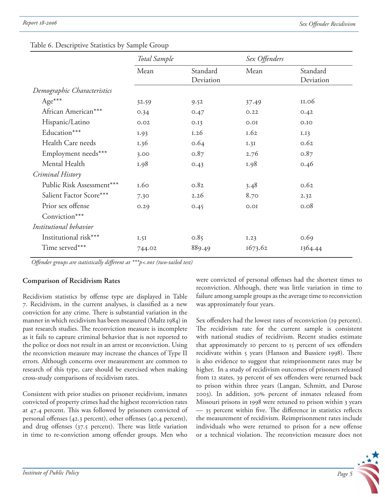|                             | Total Sample |                       | Sex Offenders |                       |
|-----------------------------|--------------|-----------------------|---------------|-----------------------|
|                             | Mean         | Standard<br>Deviation | Mean          | Standard<br>Deviation |
| Demographic Characteristics |              |                       |               |                       |
| Age***                      | 32.59        | 9.52                  | 37.49         | II.06                 |
| African American***         | 0.34         | 0.47                  | 0.22          | 0.42                  |
| Hispanic/Latino             | 0.02         | 0.13                  | 0.01          | O.IO                  |
| Education***                | I.93         | 1.26                  | 1.62          | I.I3                  |
| Health Care needs           | 1.36         | 0.64                  | 1.31          | 0.62                  |
| Employment needs***         | 3.00         | 0.87                  | 2.76          | 0.87                  |
| Mental Health               | I.98         | 0.43                  | 1.98          | 0.46                  |
| Criminal History            |              |                       |               |                       |
| Public Risk Assessment***   | 1.60         | 0.82                  | 3.48          | 0.62                  |
| Salient Factor Score***     | 7.30         | 2.26                  | 8.70          | 2.32                  |
| Prior sex offense           | 0.29         | 0.45                  | 0.01          | 0.08                  |
| Conviction***               |              |                       |               |                       |
| Institutional behavior      |              |                       |               |                       |
| Institutional risk***       | I.5I         | 0.85                  | 1.23          | 0.69                  |
| Time served***              | 744.02       | 889.49                | 1673.62       | 1364.44               |

#### Table 6. Descriptive Statistics by Sample Group

*Offender groups are statistically different at* \*\*\*p<.001 (two-tailed test)

#### **Comparison of Recidivism Rates**

Recidivism statistics by offense type are displayed in Table 7. Recidivism, in the current analyses, is classified as a new conviction for any crime. There is substantial variation in the manner in which recidivism has been measured (Maltz 1984) in past research studies. The reconviction measure is incomplete as it fails to capture criminal behavior that is not reported to the police or does not result in an arrest or reconviction. Using the reconviction measure may increase the chances of Type II errors. Although concerns over measurement are common to research of this type, care should be exercised when making cross-study comparisons of recidivism rates.

Consistent with prior studies on prisoner recidivism, inmates convicted of property crimes had the highest reconviction rates at 47.4 percent. This was followed by prisoners convicted of personal offenses (42.3 percent), other offenses (40.4 percent), and drug offenses  $(37.5 \text{ percent})$ . There was little variation in time to re-conviction among offender groups. Men who

were convicted of personal offenses had the shortest times to reconviction. Although, there was little variation in time to failure among sample groups as the average time to reconviction was approximately four years.

Sex offenders had the lowest rates of reconviction (19 percent). The recidivism rate for the current sample is consistent with national studies of recidivism. Recent studies estimate that approximately 10 percent to 15 percent of sex offenders recidivate within 5 years (Hanson and Bussiere 1998). There is also evidence to suggest that reimprisonment rates may be higher. In a study of recidivism outcomes of prisoners released from 12 states, 39 percent of sex offenders were returned back to prison within three years (Langan, Schmitt, and Durose 2003). In addition, 30% percent of inmates released from Missouri prisons in 1998 were retuned to prison within 3 years  $-$  35 percent within five. The difference in statistics reflects the measurement of recidivism. Reimprisonment rates include individuals who were returned to prison for a new offense or a technical violation. The reconviction measure does not

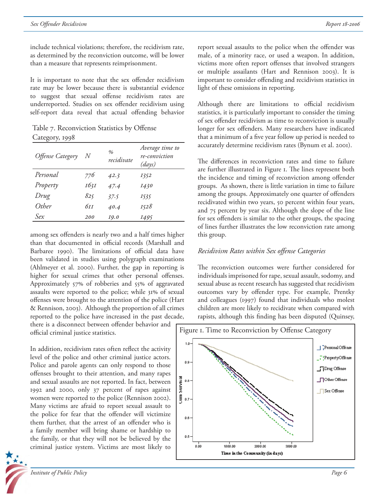include technical violations; therefore, the recidivism rate, as determined by the reconviction outcome, will be lower than a measure that represents reimprisonment.

It is important to note that the sex offender recidivism rate may be lower because there is substantial evidence to suggest that sexual offense recidivism rates are underreported. Studies on sex offender recidivism using self-report data reveal that actual offending behavior

Table 7. Reconviction Statistics by Offense Category, 1998

| Offense Category | N          | $\%$<br>recidivate | Average time to<br>re-conviction<br>(days) |
|------------------|------------|--------------------|--------------------------------------------|
| Personal         | 776        | 42.3               | 1352                                       |
| Property         | 1631       | 47.4               | <i>1430</i>                                |
| Drug             | 825        | 37.5               | 1535                                       |
| Other            | бтт        | 40.4               | I528                                       |
| Sex              | <i>200</i> | <i>19.0</i>        | 1495                                       |

among sex offenders is nearly two and a half times higher than that documented in official records (Marshall and Barbaree 1990). The limitations of official data have been validated in studies using polygraph examinations (Ahlmeyer et al. 2000). Further, the gap in reporting is higher for sexual crimes that other personal offenses. Approximately 57% of robberies and 55% of aggravated assaults were reported to the police; while 31% of sexual offenses were brought to the attention of the police (Hart & Rennison, 2003). Although the proportion of all crimes reported to the police have increased in the past decade,

there is a disconnect between offender behavior and official criminal justice statistics.

In addition, recidivism rates often reflect the activity level of the police and other criminal justice actors. Police and parole agents can only respond to those offenses brought to their attention, and many rapes and sexual assaults are not reported. In fact, between 1992 and 2000, only 37 percent of rapes against women were reported to the police (Rennison 2002). Many victims are afraid to report sexual assault to the police for fear that the offender will victimize them further, that the arrest of an offender who is a family member will bring shame or hardship to the family, or that they will not be believed by the criminal justice system. Victims are most likely to



report sexual assaults to the police when the offender was male, of a minority race, or used a weapon. In addition, victims more often report offenses that involved strangers or multiple assailants (Hart and Rennison 2003). It is important to consider offending and recidivism statistics in light of these omissions in reporting.

Although there are limitations to official recidivism statistics, it is particularly important to consider the timing of sex offender recidivism as time to reconviction is usually longer for sex offenders. Many researchers have indicated that a minimum of a five year follow up period is needed to accurately determine recidivism rates (Bynum et al. 2001).

The differences in reconviction rates and time to failure are further illustrated in Figure 1. The lines represent both the incidence and timing of reconviction among offender groups. As shown, there is little variation in time to failure among the groups. Approximately one quarter of offenders recidivated within two years, 50 percent within four years, and 75 percent by year six. Although the slope of the line for sex offenders is similar to the other groups, the spacing of lines further illustrates the low reconviction rate among this group.

#### *Recidivism Rates within Sex off ense Categories*

The reconviction outcomes were further considered for individuals imprisoned for rape, sexual assault, sodomy, and sexual abuse as recent research has suggested that recidivism outcomes vary by offender type. For example, Prentky and colleagues (1997) found that individuals who molest children are more likely to recidivate when compared with rapists, although this finding has been disputed (Quinsey,

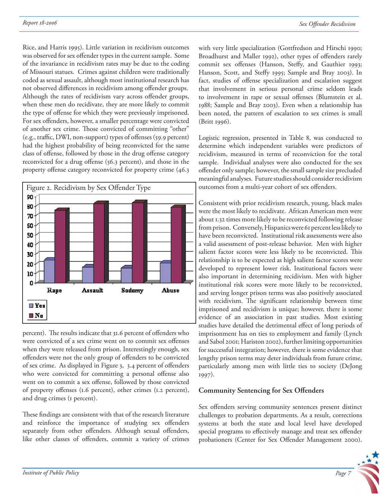Rice, and Harris 1995). Little variation in recidivism outcomes was observed for sex offender types in the current sample. Some of the invariance in recidivism rates may be due to the coding of Missouri statues. Crimes against children were traditionally coded as sexual assault, although most institutional research has not observed differences in recidivism among offender groups. Although the rates of recidivism vary across offender groups, when these men do recidivate, they are more likely to commit the type of offense for which they were previously imprisoned. For sex offenders, however, a smaller percentage were convicted of another sex crime. Those convicted of committing "other" (e.g., traffic, DWI, non-support) types of offenses (59.9 percent) had the highest probability of being reconvicted for the same class of offense, followed by those in the drug offense category reconvicted for a drug offense  $(56.3 \text{ percent})$ , and those in the property offense category reconvicted for property crime (46.3)



percent). The results indicate that 31.6 percent of offenders who were convicted of a sex crime went on to commit sex offenses when they were released from prison. Interestingly enough, sex offenders were not the only group of offenders to be convicted of sex crime. As displayed in Figure 3, 3.4 percent of offenders who were convicted for committing a personal offense also went on to commit a sex offense, followed by those convicted of property offenses (1.6 percent), other crimes (1.2 percent), and drug crimes (1 percent).

These findings are consistent with that of the research literature and reinforce the importance of studying sex offenders separately from other offenders. Although sexual offenders, like other classes of offenders, commit a variety of crimes with very little specialization (Gottfredson and Hirschi 1990; Broadhurst and Maller 1992), other types of offenders rarely commit sex offenses (Hanson, Steffy, and Gauthier 1993; Hanson, Scott, and Steffy 1995; Sample and Bray 2003). In fact, studies of offense specialization and escalation suggest that involvement in serious personal crime seldom leads to involvement in rape or sexual offenses (Blumstein et al. 1988; Sample and Bray 2003). Even when a relationship has been noted, the pattern of escalation to sex crimes is small (Britt 1996).

Logistic regression, presented in Table 8, was conducted to determine which independent variables were predictors of recidivism, measured in terms of reconviction for the total sample. Individual analyses were also conducted for the sex offender only sample; however, the small sample size precluded meaningful analyses. Future studies should consider recidivism outcomes from a multi-year cohort of sex offenders.

Consistent with prior recidivism research, young, black males were the most likely to recidivate. African American men were about 1.32 times more likely to be reconvicted following release from prison. Conversely, Hispanics were 61 percent less likely to have been reconvicted. Institutional risk assessments were also a valid assessment of post-release behavior. Men with higher salient factor scores were less likely to be reconvicted. This relationship is to be expected as high salient factor scores were developed to represent lower risk. Institutional factors were also important in determining recidivism. Men with higher institutional risk scores were more likely to be reconvicted, and serving longer prison terms was also positively associated with recidivism. The significant relationship between time imprisoned and recidivism is unique; however, there is some evidence of an association in past studies. Most existing studies have detailed the detrimental effect of long periods of imprisonment has on ties to employment and family (Lynch and Sabol 2001; Hariston 2002), further limiting opportunities for successful integration; however, there is some evidence that lengthy prison terms may deter individuals from future crime, particularly among men with little ties to society (DeJong 1997).

#### **Community Sentencing for Sex Offenders**

Sex offenders serving community sentences present distinct challenges to probation departments. As a result, corrections systems at both the state and local level have developed special programs to effectively manage and treat sex offender probationers (Center for Sex Offender Management 2000).

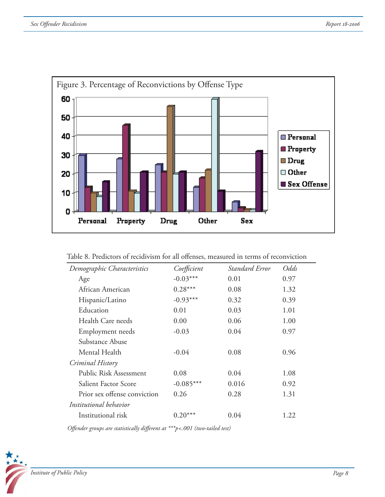

| Table 8. Predictors of recidivism for all offenses, measured in terms of reconviction |  |  |
|---------------------------------------------------------------------------------------|--|--|
|---------------------------------------------------------------------------------------|--|--|

| Demographic Characteristics  | Coefficient | Standard Error | Odds |
|------------------------------|-------------|----------------|------|
| Age                          | $-0.03***$  | 0.01           | 0.97 |
| African American             | $0.28***$   | 0.08           | 1.32 |
| Hispanic/Latino              | $-0.93***$  | 0.32           | 0.39 |
| Education                    | 0.01        | 0.03           | 1.01 |
| Health Care needs            | 0.00        | 0.06           | 1.00 |
| Employment needs             | $-0.03$     | 0.04           | 0.97 |
| Substance Abuse              |             |                |      |
| Mental Health                | $-0.04$     | 0.08           | 0.96 |
| Criminal History             |             |                |      |
| Public Risk Assessment       | 0.08        | 0.04           | 1.08 |
| Salient Factor Score         | $-0.085***$ | 0.016          | 0.92 |
| Prior sex offense conviction | 0.26        | 0.28           | 1.31 |
| Institutional behavior       |             |                |      |
| Institutional risk           | $0.20***$   | 0.04           | 1.22 |

*Offender groups are statistically different at* \*\*\*p<.001 (two-tailed test)

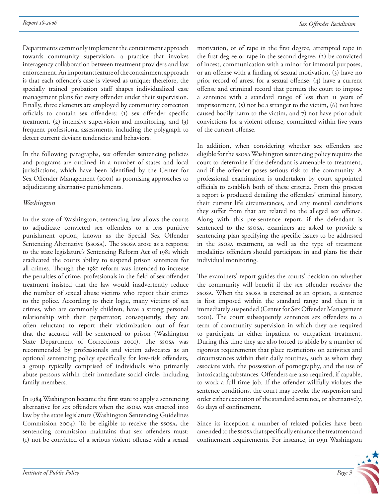Departments commonly implement the containment approach towards community supervision, a practice that invokes interagency collaboration between treatment providers and law enforcement. An important feature of the containment approach is that each offender's case is viewed as unique; therefore, the specially trained probation staff shapes individualized case management plans for every offender under their supervision. Finally, three elements are employed by community correction officials to contain sex offenders: (1) sex offender specific treatment, (2) intensive supervision and monitoring, and (3) frequent professional assessments, including the polygraph to detect current deviant tendencies and behaviors.

In the following paragraphs, sex offender sentencing policies and programs are outlined in a number of states and local jurisdictions, which have been identified by the Center for Sex Offender Management (2001) as promising approaches to adjudicating alternative punishments.

#### *Washington*

In the state of Washington, sentencing law allows the courts to adjudicate convicted sex offenders to a less punitive punishment option, known as the Special Sex Offender Sentencing Alternative (ssosa). The ssosa arose as a response to the state legislature's Sentencing Reform Act of 1981 which eradicated the courts ability to suspend prison sentences for all crimes. Though the 1981 reform was intended to increase the penalties of crime, professionals in the field of sex offender treatment insisted that the law would inadvertently reduce the number of sexual abuse victims who report their crimes to the police. According to their logic, many victims of sex crimes, who are commonly children, have a strong personal relationship with their perpetrator; consequently, they are often reluctant to report their victimization out of fear that the accused will be sentenced to prison (Washington State Department of Corrections 2001). The ssosa was recommended by professionals and victim advocates as an optional sentencing policy specifically for low-risk offenders, a group typically comprised of individuals who primarily abuse persons within their immediate social circle, including family members.

In 1984 Washington became the first state to apply a sentencing alternative for sex offenders when the ssosa was enacted into law by the state legislature (Washington Sentencing Guidelines Commission 2004). To be eligible to receive the ssosa, the sentencing commission maintains that sex offenders must: (1) not be convicted of a serious violent offense with a sexual

motivation, or of rape in the first degree, attempted rape in the first degree or rape in the second degree, (2) be convicted of incest, communication with a minor for immoral purposes, or an offense with a finding of sexual motivation, (3) have no prior record of arrest for a sexual offense,  $(4)$  have a current offense and criminal record that permits the court to impose a sentence with a standard range of less than 11 years of imprisonment,  $(5)$  not be a stranger to the victim,  $(6)$  not have caused bodily harm to the victim, and 7) not have prior adult convictions for a violent offense, committed within five years of the current offense.

In addition, when considering whether sex offenders are eligible for the ssosa Washington sentencing policy requires the court to determine if the defendant is amenable to treatment, and if the offender poses serious risk to the community. A professional examination is undertaken by court appointed officials to establish both of these criteria. From this process a report is produced detailing the offenders' criminal history, their current life circumstances, and any mental conditions they suffer from that are related to the alleged sex offense. Along with this pre-sentence report, if the defendant is sentenced to the ssosa, examiners are asked to provide a sentencing plan specifying the specific issues to be addressed in the ssosa treatment, as well as the type of treatment modalities offenders should participate in and plans for their individual monitoring.

The examiners' report guides the courts' decision on whether the community will benefit if the sex offender receives the ssosa. When the ssosa is exercised as an option, a sentence is first imposed within the standard range and then it is immediately suspended (Center for Sex Offender Management 2001). The court subsequently sentences sex offenders to a term of community supervision in which they are required to participate in either inpatient or outpatient treatment. During this time they are also forced to abide by a number of rigorous requirements that place restrictions on activities and circumstances within their daily routines, such as whom they associate with, the possession of pornography, and the use of intoxicating substances. Offenders are also required, if capable, to work a full time job. If the offender willfully violates the sentence conditions, the court may revoke the suspension and order either execution of the standard sentence, or alternatively, 60 days of confinement.

Since its inception a number of related policies have been amended to the ssosa that specifically enhance the treatment and confinement requirements. For instance, in 1991 Washington

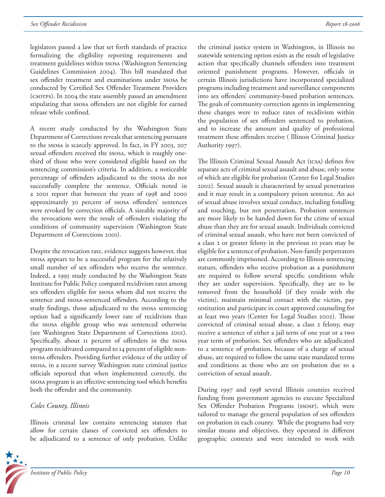legislators passed a law that set forth standards of practice formalizing the eligibility reporting requirements and treatment guidelines within ssosa (Washington Sentencing Guidelines Commission 2004). This bill mandated that sex offender treatment and examinations under ssosa be conducted by Certified Sex Offender Treatment Providers (CSOTPS). In 2004 the state assembly passed an amendment stipulating that ssosa offenders are not eligible for earned release while confined.

A recent study conducted by the Washington State Department of Corrections reveals that sentencing pursuant to the ssosa is scarcely approved. In fact, in FY 2003, 207 sexual offenders received the ssosa, which is roughly onethird of those who were considered eligible based on the sentencing commission's criteria. In addition, a noticeable percentage of offenders adjudicated to the ssosa do not successfully complete the sentence. Officials noted in a 2001 report that between the years of 1998 and 2000 approximately 30 percent of ssosa offenders' sentences were revoked by correction officials. A sizeable majority of the revocations were the result of offenders violating the conditions of community supervision (Washington State Department of Corrections 2001).

Despite the revocation rate, evidence suggests however, that ssosa appears to be a successful program for the relatively small number of sex offenders who receive the sentence. Indeed, a 1995 study conducted by the Washington State Institute for Public Policy compared recidivism rates among sex offenders eligible for ssosa whom did not receive the sentence and ssosa-sentenced offenders. According to the study findings, those adjudicated to the ssosa sentencing option had a significantly lower rate of recidivism than the ssosa eligible group who was sentenced otherwise (see Washington State Department of Corrections 2001). Specifically, about II percent of offenders in the ssosa program recidivated compared to 14 percent of eligible nonssosa offenders. Providing further evidence of the utility of ssosa, in a recent survey Washington state criminal justice officials reported that when implemented correctly, the ssosa program is an effective sentencing tool which benefits both the offender and the community.

#### *Coles County, Illinois*

Illinois criminal law contains sentencing statutes that allow for certain classes of convicted sex offenders to be adjudicated to a sentence of only probation. Unlike



the criminal justice system in Washington, in Illinois no statewide sentencing option exists as the result of legislative action that specifically channels offenders into treatment oriented punishment programs. However, officials in certain Illinois jurisdictions have incorporated specialized programs including treatment and surveillance components into sex offenders' community-based probation sentences. The goals of community correction agents in implementing these changes were to reduce rates of recidivism within the population of sex offenders sentenced to probation, and to increase the amount and quality of professional treatment these offenders receive (Illinois Criminal Justice Authority 1997).

The Illinois Criminal Sexual Assault Act (ICSA) defines five separate acts of criminal sexual assault and abuse, only some of which are eligible for probation (Center for Legal Studies 2002). Sexual assault is characterized by sexual penetration and it may result in a compulsory prison sentence. An act of sexual abuse involves sexual conduct, including fondling and touching, but not penetration. Probation sentences are more likely to be handed down for the crime of sexual abuse than they are for sexual assault. Individuals convicted of criminal sexual assault, who have not been convicted of a class 2 or greater felony in the previous 10 years may be eligible for a sentence of probation. Non-family perpetrators are commonly imprisoned. According to Illinois sentencing statues, offenders who receive probation as a punishment are required to follow several specific conditions while they are under supervision. Specifically, they are to be removed from the household (if they reside with the victim), maintain minimal contact with the victim, pay restitution and participate in court approved counseling for at least two years (Center for Legal Studies 2002). Those convicted of criminal sexual abuse, a class 2 felony, may receive a sentence of either a jail term of one year or a two year term of probation. Sex offenders who are adjudicated to a sentence of probation, because of a charge of sexual abuse, are required to follow the same state mandated terms and conditions as those who are on probation due to a conviction of sexual assault.

During 1997 and 1998 several Illinois counties received funding from government agencies to execute Specialized Sex Offender Probation Programs (ssosp), which were tailored to manage the general population of sex offenders on probation in each county. While the programs had very similar means and objectives, they operated in different geographic contexts and were intended to work with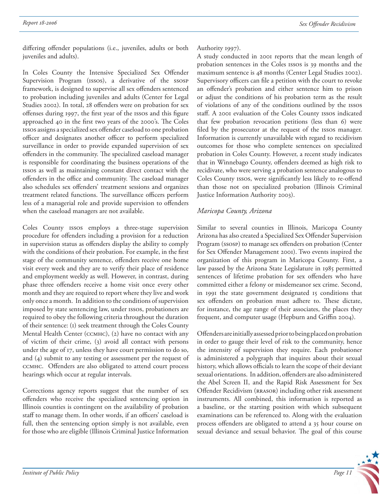differing offender populations (i.e., juveniles, adults or both juveniles and adults).

In Coles County the Intensive Specialized Sex Offender Supervision Program (issos), a derivative of the ssosp framework, is designed to supervise all sex offenders sentenced to probation including juveniles and adults (Center for Legal Studies 2002). In total, 28 offenders were on probation for sex offenses during 1997, the first year of the Issos and this figure approached 40 in the first two years of the 2000's. The Coles issos assigns a specialized sex offender caseload to one probation officer and designates another officer to perform specialized surveillance in order to provide expanded supervision of sex offenders in the community. The specialized caseload manager is responsible for coordinating the business operations of the issos as well as maintaining constant direct contact with the offenders in the office and community. The caseload manager also schedules sex offenders' treatment sessions and organizes treatment related functions. The surveillance officers perform less of a managerial role and provide supervision to offenders when the caseload managers are not available.

Coles County issos employs a three-stage supervision procedure for offenders including a provision for a reduction in supervision status as offenders display the ability to comply with the conditions of their probation. For example, in the first stage of the community sentence, offenders receive one home visit every week and they are to verify their place of residence and employment weekly as well. However, in contrast, during phase three offenders receive a home visit once every other month and they are required to report where they live and work only once a month. In addition to the conditions of supervision imposed by state sentencing law, under issos, probationers are required to obey the following criteria throughout the duration of their sentence: (1) seek treatment through the Coles County Mental Health Center (ccmhc), (2) have no contact with any of victim of their crime, (3) avoid all contact with persons under the age of 17, unless they have court permission to do so, and (4) submit to any testing or assessment per the request of CCMHC. Offenders are also obligated to attend court process hearings which occur at regular intervals.

Corrections agency reports suggest that the number of sex offenders who receive the specialized sentencing option in Illinois counties is contingent on the availability of probation staff to manage them. In other words, if an officers' caseload is full, then the sentencing option simply is not available, even for those who are eligible (Illinois Criminal Justice Information

Authority 1997).

A study conducted in 2001 reports that the mean length of probation sentences in the Coles issos is 39 months and the maximum sentence is 48 months (Center Legal Studies 2002). Supervisory officers can file a petition with the court to revoke an offender's probation and either sentence him to prison or adjust the conditions of his probation term as the result of violations of any of the conditions outlined by the issos staff. A 2001 evaluation of the Coles County Issos indicated that few probation revocation petitions (less than 6) were filed by the prosecutor at the request of the issos manager. Information is currently unavailable with regard to recidivism outcomes for those who complete sentences on specialized probation in Coles County. However, a recent study indicates that in Winnebago County, offenders deemed as high risk to recidivate, who were serving a probation sentence analogous to Coles County issos, were significantly less likely to re-offend than those not on specialized probation (Illinois Criminal Justice Information Authority 2003).

#### *Maricopa County, Arizona*

Similar to several counties in Illinois, Maricopa County Arizona has also created a Specialized Sex Offender Supervision Program (ssosp) to manage sex offenders on probation (Center for Sex Offender Management 2001). Two events inspired the organization of this program in Maricopa County. First, a law passed by the Arizona State Legislature in 1985 permitted sentences of lifetime probation for sex offenders who have committed either a felony or misdemeanor sex crime. Second, in 1991 the state government designated 15 conditions that sex offenders on probation must adhere to. These dictate, for instance, the age range of their associates, the places they frequent, and computer usage (Hepburn and Griffin 2004).

Offenders are initially assessed prior to being placed on probation in order to gauge their level of risk to the community, hence the intensity of supervision they require. Each probationer is administered a polygraph that inquires about their sexual history, which allows officials to learn the scope of their deviant sexual orientations. In addition, offenders are also administered the Abel Screen II, and the Rapid Risk Assessment for Sex Offender Recidivism (RRASOR) including other risk assessment instruments. All combined, this information is reported as a baseline, or the starting position with which subsequent examinations can be referenced to. Along with the evaluation process offenders are obligated to attend a 35 hour course on sexual deviance and sexual behavior. The goal of this course

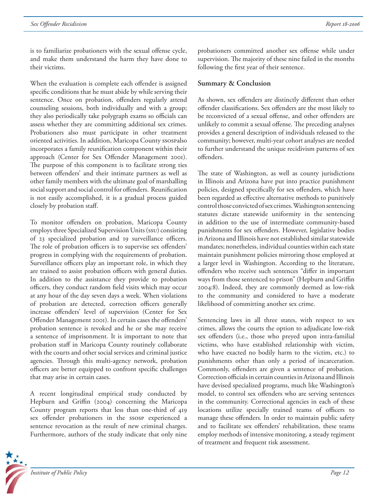*Report 18-2006*

is to familiarize probationers with the sexual offense cycle, and make them understand the harm they have done to their victims.

When the evaluation is complete each offender is assigned specific conditions that he must abide by while serving their sentence. Once on probation, offenders regularly attend counseling sessions, both individually and with a group; they also periodically take polygraph exams so officials can assess whether they are committing additional sex crimes. Probationers also must participate in other treatment oriented activities. In addition, Maricopa County ssospalso incorporates a family reunification component within their approach (Center for Sex Offender Management 2001). The purpose of this component is to facilitate strong ties between offenders' and their intimate partners as well as other family members with the ultimate goal of marshalling social support and social control for offenders. Reunification is not easily accomplished, it is a gradual process guided closely by probation staff.

To monitor offenders on probation, Maricopa County employs three Specialized Supervision Units (ssu) consisting of 23 specialized probation and 19 surveillance officers. The role of probation officers is to supervise sex offenders' progress in complying with the requirements of probation. Surveillance officers play an important role, in which they are trained to assist probation officers with general duties. In addition to the assistance they provide to probation officers, they conduct random field visits which may occur at any hour of the day seven days a week. When violations of probation are detected, correction officers generally increase offenders' level of supervision (Center for Sex Offender Management 2001). In certain cases the offenders' probation sentence is revoked and he or she may receive a sentence of imprisonment. It is important to note that probation staff in Maricopa County routinely collaborate with the courts and other social services and criminal justice agencies. Through this multi-agency network, probation officers are better equipped to confront specific challenges that may arise in certain cases.

A recent longitudinal empirical study conducted by Hepburn and Griffin (2004) concerning the Maricopa County program reports that less than one-third of 419 sex offender probationers in the ssosp experienced a sentence revocation as the result of new criminal charges. Furthermore, authors of the study indicate that only nine



probationers committed another sex offense while under supervision. The majority of these nine failed in the months following the first year of their sentence.

#### **Summary & Conclusion**

As shown, sex offenders are distinctly different than other offender classifications. Sex offenders are the most likely to be reconvicted of a sexual offense, and other offenders are unlikely to commit a sexual offense. The preceding analyses provides a general description of individuals released to the community; however, multi-year cohort analyses are needed to further understand the unique recidivism patterns of sex offenders.

The state of Washington, as well as county jurisdictions in Illinois and Arizona have put into practice punishment policies, designed specifically for sex offenders, which have been regarded as effective alternative methods to punitively control those convicted of sex crimes. Washington sentencing statutes dictate statewide uniformity in the sentencing in addition to the use of intermediate community-based punishments for sex offenders. However, legislative bodies in Arizona and Illinois have not established similar statewide mandates; nonetheless, individual counties within each state maintain punishment policies mirroring those employed at a larger level in Washington. According to the literature, offenders who receive such sentences "differ in important ways from those sentenced to prison" (Hepburn and Griffin 2004:8). Indeed, they are commonly deemed as low-risk to the community and considered to have a moderate likelihood of committing another sex crime.

Sentencing laws in all three states, with respect to sex crimes, allows the courts the option to adjudicate low-risk sex offenders (i.e., those who preyed upon intra-familial victims, who have established relationship with victim, who have exacted no bodily harm to the victim, etc.) to punishments other than only a period of incarceration. Commonly, offenders are given a sentence of probation. Correction officials in certain counties in Arizona and Illinois have devised specialized programs, much like Washington's model, to control sex offenders who are serving sentences in the community. Correctional agencies in each of these locations utilize specially trained teams of officers to manage these offenders. In order to maintain public safety and to facilitate sex offenders' rehabilitation, these teams employ methods of intensive monitoring, a steady regiment of treatment and frequent risk assessment.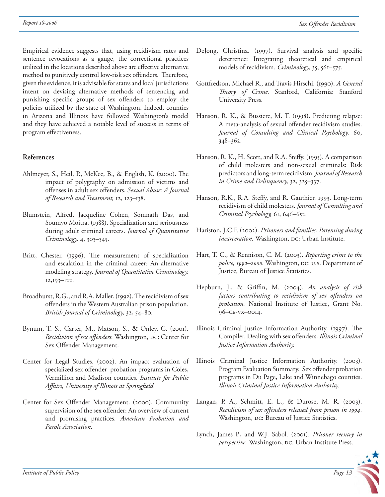Empirical evidence suggests that, using recidivism rates and sentence revocations as a gauge, the correctional practices utilized in the locations described above are effective alternative method to punitively control low-risk sex offenders. Therefore, given the evidence, it is advisable for states and local jurisdictions intent on devising alternative methods of sentencing and punishing specific groups of sex offenders to employ the policies utilized by the state of Washington. Indeed, counties in Arizona and Illinois have followed Washington's model and they have achieved a notable level of success in terms of program effectiveness.

#### **References**

- Ahlmeyer, S., Heil, P., McKee, B., & English, K. (2000). The impact of polygraphy on admission of victims and offenses in adult sex offenders. *Sexual Abuse: A Journal of Research and Treatment,* 12, 123–138.
- Blumstein, Alfred, Jacqueline Cohen, Somnath Das, and Soumyo Moitra. (1988). Specialization and seriousness during adult criminal careers. *Journal of Quantitative Criminology,* 4, 303–345.
- Britt, Chester. (1996). The measurement of specialization and escalation in the criminal career: An alternative modeling strategy. *Journal of Quantitative Criminology,*  12,193–122.
- Broadhurst, R.G., and R.A. Maller. (1992). The recidivism of sex offenders in the Western Australian prison population. *British Journal of Criminology,* 32, 54–80.
- Bynum, T. S., Carter, M., Matson, S., & Onley, C. (2001). *Recidivism of sex offenders.* Washington, DC: Center for Sex Offender Management.
- Center for Legal Studies. (2002). An impact evaluation of specialized sex offender probation programs in Coles, Vermillion and Madison counties. *Institute for Public*  Affairs, University of Illinois at Springfield.
- Center for Sex Offender Management. (2000). Community supervision of the sex offender: An overview of current and promising practices. *American Probation and Parole Association.*
- DeJong, Christina. (1997). Survival analysis and specific deterrence: Integrating theoretical and empirical models of recidivism. *Criminology,* 35, 561–575.
- Gottfredson, Michael R., and Travis Hirschi. (1990). *A General Th eory of Crime.* Stanford, California: Stanford University Press.
- Hanson, R. K., & Bussiere, M. T. (1998). Predicting relapse: A meta-analysis of sexual offender recidivism studies. *Journal of Consulting and Clinical Psychology,* 60, 348–362.
- Hanson, R. K., H. Scott, and R.A. Steffy. (1995). A comparison of child molesters and non-sexual criminals: Risk predictors and long-term recidivism. *Journal of Research in Crime and Delinquency,* 32, 325–337.
- Hanson, R.K., R.A. Steffy, and R. Gauthier. 1993. Long-term recidivism of child molesters. *Journal of Consulting and Criminal Psychology,* 61, 646–652.
- Hariston, J.C.F. (2002). *Prisoners and families: Parenting during incarceration*. Washington, DC: Urban Institute.
- Hart, T. C., & Rennison, C. M. (2003). *Reporting crime to the police, 1992–2000.* Washington, DC: U.S. Department of Justice, Bureau of Justice Statistics.
- Hepburn, J., & Griffin, M. (2004). An analysis of risk factors contributing to recidivism of sex offenders on *probation.* National Institute of Justice, Grant No. 96–ce-vx–0014.
- Illinois Criminal Justice Information Authority. (1997). The Compiler. Dealing with sex offenders. *Illinois Criminal Justice Information Authority.*
- Illinois Criminal Justice Information Authority. (2003). Program Evaluation Summary. Sex offender probation programs in Du Page, Lake and Winnebago counties. *Illinois Criminal Justice Information Authority.*
- Langan, P. A., Schmitt, E. L., & Durose, M. R. (2003). *Recidivism of sex offenders released from prison in 1994.* Washington, DC: Bureau of Justice Statistics.
- Lynch, James P., and W.J. Sabol. (2001). *Prisoner reentry in perspective.* Washington, DC: Urban Institute Press.